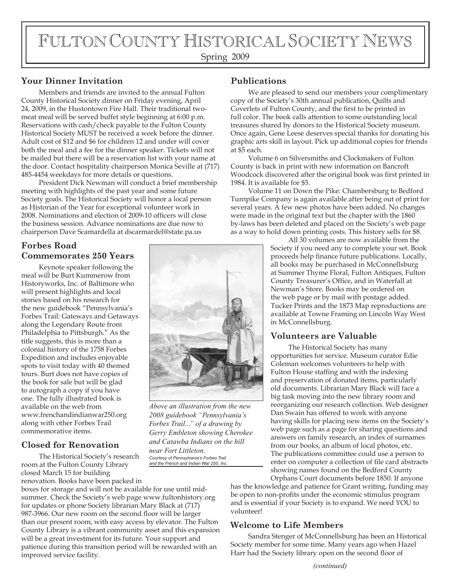# FULTON COUNTY HISTORICAL SOCIETY NEWS

# Spring 2009

# **Your Dinner Invitation**

Members and friends are invited to the annual Fulton County Historical Society dinner on Friday evening, April 24, 2009, in the Hustontown Fire Hall. Their traditional twomeat meal will be served buffet style beginning at 6:00 p.m. Reservations with cash/check payable to the Fulton County Historical Society MUST be received a week before the dinner. Adult cost of \$12 and \$6 for children 12 and under will cover both the meal and a fee for the dinner speaker. Tickets will not be mailed but there will be a reservation list with your name at the door. Contact hospitality chairperson Monica Seville at (717) 485-4454 weekdays for more details or questions.

President Dick Newman will conduct a brief membership meeting with highlights of the past year and some future Society goals. The Historical Society will honor a local person as Historian of the Year for exceptional volunteer work in 2008. Nominations and election of 2009-10 officers will close the business session. Advance nominations are due now to chairperson Dave Scamardella at dscarmardel@state.pa.us

# **Forbes Road Commemorates 250 Years**

Keynote speaker following the meal will be Burt Kummerow from Historyworks, Inc. of Baltimore who will present highlights and local stories based on his research for the new guidebook "Pennsylvania's Forbes Trail: Gateways and Getaways along the Legendary Route from Philadelphia to Pittsburgh." As the title suggests, this is more than a colonial history of the 1758 Forbes Expedition and includes enjoyable spots to visit today with 40 themed tours. Burt does not have copies of the book for sale but will be glad to autograph a copy if you have one. The fully illustrated book is available on the web from www.frenchandindianwar250.org along with other Forbes Trail commemorative items.

### **Closed for Renovation**

The Historical Society's research room at the Fulton County Library closed March 15 for building

renovation. Books have been packed in boxes for storage and will not be available for use until midsummer. Check the Society's web page www.fultonhistory.org for updates or phone Society librarian Mary Black at (717) 987-3966. Our new room on the second floor will be larger than our present room, with easy access by elevator. The Fulton County Library is a vibrant community asset and this expansion will be a great investment for its future. Your support and patience during this transition period will be rewarded with an improved service facility.

## **Publications**

We are pleased to send our members your complimentary copy of the Society's 30th annual publication, Quilts and Coverlets of Fulton County, and the first to be printed in full color. The book calls attention to some outstanding local treasures shared by donors to the Historical Society museum. Once again, Gene Leese deserves special thanks for donating his graphic arts skill in layout. Pick up additional copies for friends at \$5 each.

Volume 6 on Silversmiths and Clockmakers of Fulton County is back in print with new information on Bancroft Woodcock discovered after the original book was first printed in 1984. It is available for \$5.

Volume 11 on Down the Pike: Chambersburg to Bedford Turnpike Company is again available after being out of print for several years. A few new photos have been added. No changes were made in the original text but the chapter with the 1860 by-laws has been deleted and placed on the Society's web page as a way to hold down printing costs. This history sells for \$8.

> All 30 volumes are now available from the Society if you need any to complete your set. Book proceeds help finance future publications. Locally, all books may be purchased in McConnellsburg at Summer Thyme Floral, Fulton Antiques, Fulton County Treasurer's Office, and in Waterfall at Newman's Store. Books may be ordered on the web page or by mail with postage added. Tucker Prints and the 1873 Map reproductions are available at Towne Framing on Lincoln Way West in McConnellsburg.

# **Volunteers are Valuable**

The Historical Society has many opportunities for service. Museum curator Edie Coleman welcomes volunteers to help with Fulton House staffing and with the indexing and preservation of donated items, particularly old documents. Librarian Mary Black will face a big task moving into the new library room and reorganizing our research collection. Web designer Dan Swain has offered to work with anyone having skills for placing new items on the Society's web page such as a page for sharing questions and answers on family research, an index of surnames from our books, an album of local photos, etc. The publications committee could use a person to enter on computer a collection of file card abstracts showing names found on the Bedford County

Orphans Court documents before 1850. If anyone has the knowledge and patience for Grant writing, funding may be open to non-profits under the economic stimulus program and is essential if your Society is to expand. We need YOU to volunteer!

### **Welcome to Life Members**

Sandra Stenger of McConnellsburg has been an Historical Society member for some time. Many years ago when Hazel Harr had the Society library open on the second floor of



*Above an illustration from the new 2008 guidebook "Pennsylvania's Forbes Trail..." of a drawing by Gerry Embleton showing Cherokee and Catawba Indians on the hill* 

*near Fort Littleton. Courtesy of Pennsylvania's Forbes Trail and the French and Indian War 250, Inc.*